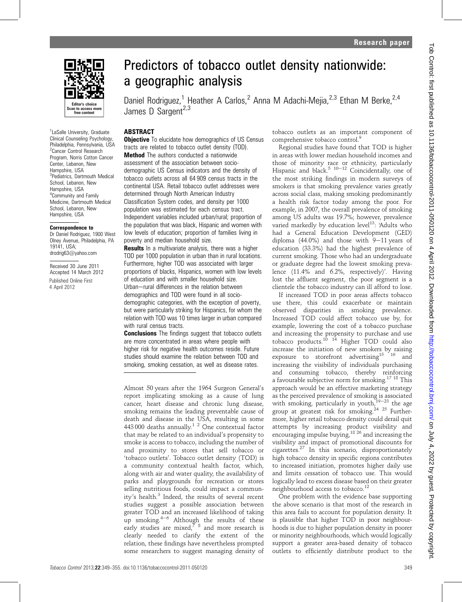



<sup>1</sup> LaSalle University, Graduate Clinical Counseling Psychology, Philadelphia, Pennsylvania, USA <sup>2</sup> Cancer Control Research Program, Norris Cotton Cancer Center, Lebanon, New Hampshire, USA 3 Pediatrics, Dartmouth Medical School, Lebanon, New Hampshire, USA 4 Community and Family Medicine, Dartmouth Medical School, Lebanon, New Hampshire, USA

#### Correspondence to

Dr Daniel Rodriguez, 1900 West Olney Avenue, Philadelphia, PA 19141, USA; drodrig63@yahoo.com

Received 30 June 2011 Accepted 14 March 2012 Published Online First 4 April 2012

# Predictors of tobacco outlet density nationwide: a geographic analysis

Daniel Rodriguez,<sup>1</sup> Heather A Carlos,<sup>2</sup> Anna M Adachi-Mejia,<sup>2,3</sup> Ethan M Berke,<sup>2,4</sup> James D Sargent $^{2,3}$ 

# **ABSTRACT**

**Objective** To elucidate how demographics of US Census tracts are related to tobacco outlet density (TOD). Method The authors conducted a nationwide assessment of the association between sociodemographic US Census indicators and the density of tobacco outlets across all 64 909 census tracts in the continental USA. Retail tobacco outlet addresses were determined through North American Industry Classification System codes, and density per 1000 population was estimated for each census tract. Independent variables included urban/rural; proportion of the population that was black, Hispanic and women with low levels of education; proportion of families living in poverty and median household size.

**Results** In a multivariate analysis, there was a higher TOD per 1000 population in urban than in rural locations. Furthermore, higher TOD was associated with larger proportions of blacks, Hispanics, women with low levels of education and with smaller household size. Urban-rural differences in the relation between demographics and TOD were found in all sociodemographic categories, with the exception of poverty, but were particularly striking for Hispanics, for whom the relation with TOD was 10 times larger in urban compared

with rural census tracts. **Conclusions** The findings suggest that tobacco outlets are more concentrated in areas where people with higher risk for negative health outcomes reside. Future studies should examine the relation between TOD and smoking, smoking cessation, as well as disease rates.

Almost 50 years after the 1964 Surgeon General's report implicating smoking as a cause of lung cancer, heart disease and chronic lung disease, smoking remains the leading preventable cause of death and disease in the USA, resulting in some 443 000 deaths annually.1 <sup>2</sup> One contextual factor that may be related to an individual's propensity to smoke is access to tobacco, including the number of and proximity to stores that sell tobacco or 'tobacco outlets'. Tobacco outlet density (TOD) is a community contextual health factor, which, along with air and water quality, the availability of parks and playgrounds for recreation or stores selling nutritious foods, could impact a community's health. $3$  Indeed, the results of several recent studies suggest a possible association between greater TOD and an increased likelihood of taking up smoking. $4-6$  Although the results of these early studies are mixed,  $\frac{7}{8}$  and more research is clearly needed to clarify the extent of the relation, these findings have nevertheless prompted some researchers to suggest managing density of

tobacco outlets as an important component of comprehensive tobacco control.<sup>9</sup>

Regional studies have found that TOD is higher in areas with lower median household incomes and those of minority race or ethnicity, particularly<br>Hispanic and black.<sup>5 10–12</sup> Coincidentally, one of the most striking findings in modern surveys of smokers is that smoking prevalence varies greatly across social class, making smoking predominantly a health risk factor today among the poor. For example, in 2007, the overall prevalence of smoking among US adults was 19.7%; however, prevalence varied markedly by education level<sup>13</sup>: 'Adults who had a General Education Development (GED) diploma  $(44.0\%)$  and those with  $9-11$  years of education (33.3%) had the highest prevalence of current smoking. Those who had an undergraduate or graduate degree had the lowest smoking prevalence (11.4% and 6.2%, respectively)'. Having lost the affluent segment, the poor segment is a clientele the tobacco industry can ill afford to lose.

If increased TOD in poor areas affects tobacco use there, this could exacerbate or maintain observed disparities in smoking prevalence. Increased TOD could affect tobacco use by, for example, lowering the cost of a tobacco purchase and increasing the propensity to purchase and use tobacco products.<sup>10</sup> <sup>14</sup> Higher TOD could also increase the initiation of new smokers by raising exposure to storefront advertising<sup>15 16</sup> and increasing the visibility of individuals purchasing and consuming tobacco, thereby reinforcing a favourable subjective norm for smoking.17 18 This approach would be an effective marketing strategy as the perceived prevalence of smoking is associated with smoking, particularly in youth,<sup>19–23</sup> the age group at greatest risk for smoking.<sup>24 25</sup> Furthermore, higher retail tobacco density could derail quit attempts by increasing product visibility and encouraging impulse buying,18 26 and increasing the visibility and impact of promotional discounts for cigarettes.<sup>27</sup> In this scenario, disproportionately high tobacco density in specific regions contributes to increased initiation, promotes higher daily use and limits cessation of tobacco use. This would logically lead to excess disease based on their greater neighbourhood access to tobacco.<sup>12</sup>

One problem with the evidence base supporting the above scenario is that most of the research in this area fails to account for population density. It is plausible that higher TOD in poor neighbourhoods is due to higher population density in poorer or minority neighbourhoods, which would logically support a greater area-based density of tobacco outlets to efficiently distribute product to the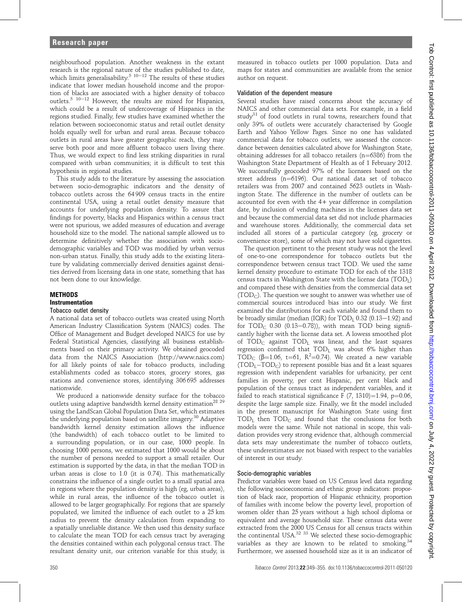neighbourhood population. Another weakness in the extant research is the regional nature of the studies published to date, which limits generalisability.<sup>5 10-12</sup> The results of these studies indicate that lower median household income and the proportion of blacks are associated with a higher density of tobacco outlets.<sup>5</sup>  $10-12$  However, the results are mixed for Hispanics, which could be a result of undercoverage of Hispanics in the regions studied. Finally, few studies have examined whether the relation between socioeconomic status and retail outlet density holds equally well for urban and rural areas. Because tobacco outlets in rural areas have greater geographic reach, they may serve both poor and more affluent tobacco users living there. Thus, we would expect to find less striking disparities in rural compared with urban communities; it is difficult to test this hypothesis in regional studies.

This study adds to the literature by assessing the association between socio-demographic indicators and the density of tobacco outlets across the 64 909 census tracts in the entire continental USA, using a retail outlet density measure that accounts for underlying population density. To assure that findings for poverty, blacks and Hispanics within a census tract were not spurious, we added measures of education and average household size to the model. The national sample allowed us to determine definitively whether the association with sociodemographic variables and TOD was modified by urban versus non-urban status. Finally, this study adds to the existing literature by validating commercially derived densities against densities derived from licensing data in one state, something that has not been done to our knowledge.

# **METHODS**

## Instrumentation

#### Tobacco outlet density

A national data set of tobacco outlets was created using North American Industry Classification System (NAICS) codes. The Office of Management and Budget developed NAICS for use by Federal Statistical Agencies, classifying all business establishments based on their primary activity. We obtained geocoded data from the NAICS Association (http://www.naics.com) for all likely points of sale for tobacco products, including establishments coded as tobacco stores, grocery stores, gas stations and convenience stores, identifying 306 695 addresses nationwide.

We produced a nationwide density surface for the tobacco outlets using adaptive bandwidth kernel density estimation<sup>28</sup><sup>29</sup> using the LandScan Global Population Data Set, which estimates the underlying population based on satellite imagery.<sup>30</sup> Adaptive bandwidth kernel density estimation allows the influence (the bandwidth) of each tobacco outlet to be limited to a surrounding population, or in our case, 1000 people. In choosing 1000 persons, we estimated that 1000 would be about the number of persons needed to support a small retailer. Our estimation is supported by the data, in that the median TOD in urban areas is close to 1.0 (it is 0.74). This mathematically constrains the influence of a single outlet to a small spatial area in regions where the population density is high (eg, urban areas), while in rural areas, the influence of the tobacco outlet is allowed to be larger geographically. For regions that are sparsely populated, we limited the influence of each outlet to a 25 km radius to prevent the density calculation from expanding to a spatially unreliable distance. We then used this density surface to calculate the mean TOD for each census tract by averaging the densities contained within each polygonal census tract. The resultant density unit, our criterion variable for this study, is

measured in tobacco outlets per 1000 population. Data and maps for states and communities are available from the senior author on request.

## Validation of the dependent measure

Several studies have raised concerns about the accuracy of NAICS and other commercial data sets. For example, in a field study $31$  of food outlets in rural towns, researchers found that only 39% of outlets were accurately characterised by Google Earth and Yahoo Yellow Pages. Since no one has validated commercial data for tobacco outlets, we assessed the concordance between densities calculated above for Washington State, obtaining addresses for all tobacco retailers  $(n=6386)$  from the Washington State Department of Health as of 1 February 2012. We successfully geocoded 97% of the licensees based on the street address ( $n=6196$ ). Our national data set of tobacco retailers was from 2007 and contained 5623 outlets in Washington State. The difference in the number of outlets can be accounted for even with the 4+ year difference in compilation date, by inclusion of vending machines in the licenses data set and because the commercial data set did not include pharmacies and warehouse stores. Additionally, the commercial data set included all stores of a particular category (eg, grocery or convenience store), some of which may not have sold cigarettes.

The question pertinent to the present study was not the level of one-to-one correspondence for tobacco outlets but the correspondence between census tract TOD. We used the same kernel density procedure to estimate TOD for each of the 1318 census tracts in Washington State with the license data  $(TOD<sub>L</sub>)$ and compared these with densities from the commercial data set (TOD<sub>C</sub>). The question we sought to answer was whether use of commercial sources introduced bias into our study. We first examined the distributions for each variable and found them to be broadly similar (median (IQR) for  $\text{TOP}_L$  0.32 (0.13-1.92) and for  $\text{TOP}_C$  0.30 (0.13-0.78)), with mean TOD being significantly higher with the license data set. A lowess smoothed plot of  $\text{TOP}_C$  against  $\text{TOP}_L$  was linear, and the least squares regression confirmed that  $\text{TOD}_L$  was about 6% higher than  $\text{TOD}_{\text{C}}$  ( $\beta$ =1.06, t=61, R<sup>2</sup>=0.74). We created a new variable (TODL-TODC) to represent possible bias and fit a least squares regression with independent variables for urbanicity, per cent families in poverty, per cent Hispanic, per cent black and population of the census tract as independent variables, and it failed to reach statistical significance F  $(7, 1310) = 1.94$ , p=0.06, despite the large sample size. Finally, we fit the model included in the present manuscript for Washington State using first  $\text{TOP}_L$  then  $\text{TOP}_C$  and found that the conclusions for both models were the same. While not national in scope, this validation provides very strong evidence that, although commercial data sets may underestimate the number of tobacco outlets, these underestimates are not biased with respect to the variables of interest in our study.

# Socio-demographic variables

Predictor variables were based on US Census level data regarding the following socioeconomic and ethnic group indicators: proportion of black race, proportion of Hispanic ethnicity, proportion of families with income below the poverty level, proportion of women older than 25 years without a high school diploma or equivalent and average household size. These census data were extracted from the 2000 US Census for all census tracts within the continental USA.<sup>32 33</sup> We selected these socio-demographic variables as they are known to be related to smoking. $34$ Furthermore, we assessed household size as it is an indicator of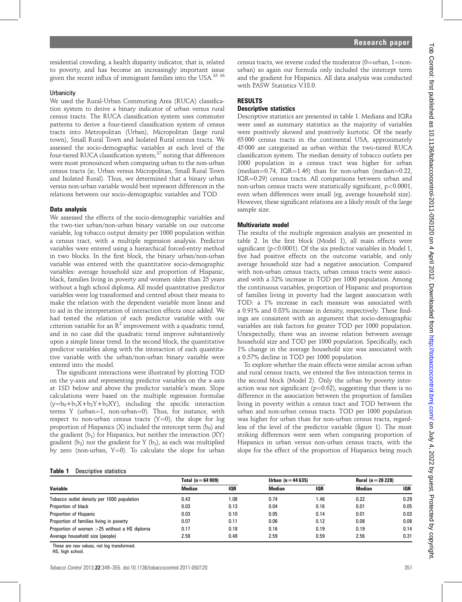residential crowding, a health disparity indicator, that is, related to poverty, and has become an increasingly important issue given the recent influx of immigrant families into the USA. $35\,36$ 

#### **Urbanicity**

We used the Rural-Urban Commuting Area (RUCA) classification system to derive a binary indicator of urban versus rural census tracts. The RUCA classification system uses commuter patterns to derive a four-tiered classification system of census tracts into Metropolitan (Urban), Micropolitan (large rural town), Small Rural Town and Isolated Rural census tracts. We assessed the socio-demographic variables at each level of the four-tiered RUCA classification system,<sup>37</sup> noting that differences were most pronounced when comparing urban to the non-urban census tracts (ie, Urban versus Micropolitan, Small Rural Town and Isolated Rural). Thus, we determined that a binary urban versus non-urban variable would best represent differences in the relations between our socio-demographic variables and TOD.

#### Data analysis

We assessed the effects of the socio-demographic variables and the two-tier urban/non-urban binary variable on our outcome variable, log tobacco output density per 1000 population within a census tract, with a multiple regression analysis. Predictor variables were entered using a hierarchical forced-entry method in two blocks. In the first block, the binary urban/non-urban variable was entered with the quantitative socio-demographic variables: average household size and proportion of Hispanic, black, families living in poverty and women older than 25 years without a high school diploma. All model quantitative predictor variables were log transformed and centred about their means to make the relation with the dependent variable more linear and to aid in the interpretation of interaction effects once added. We had tested the relation of each predictor variable with our criterion variable for an  $\mathbb{R}^2$  improvement with a quadratic trend, and in no case did the quadratic trend improve substantively upon a simple linear trend. In the second block, the quantitative predictor variables along with the interaction of each quantitative variable with the urban/non-urban binary variable were entered into the model.

The significant interactions were illustrated by plotting TOD on the y-axis and representing predictor variables on the x-axis at 1SD below and above the predictor variable's mean. Slope calculations were based on the multiple regression formulae  $(y=b_0+b_1X+b_2Y+b_3XY)$ , including the specific interaction terms Y (urban=1, non-urban=0). Thus, for instance, with respect to non-urban census tracts  $(Y=0)$ , the slope for log proportion of Hispanics  $(X)$  included the intercept term  $(b_0)$  and the gradient  $(b_1)$  for Hispanics, but neither the interaction  $(XY)$ gradient ( $b_2$ ) nor the gradient for Y ( $b_3$ ), as each was multiplied by zero (non-urban,  $Y=0$ ). To calculate the slope for urban

census tracts, we reverse coded the moderator (0=urban, 1=nonurban) so again our formula only included the intercept term and the gradient for Hispanics. All data analysis was conducted with PASW Statistics V.18.0.

# RESULTS

# Descriptive statistics

Descriptive statistics are presented in table 1. Medians and IQRs were used as summary statistics as the majority of variables were positively skewed and positively kurtotic. Of the nearly 65 000 census tracts in the continental USA, approximately 45 000 are categorised as urban within the two-tiered RUCA classification system. The median density of tobacco outlets per 1000 population in a census tract was higher for urban (median= $0.74$ , IQR= $1.46$ ) than for non-urban (median= $0.22$ , IQR=0.29) census tracts. All comparisons between urban and non-urban census tracts were statistically significant, p<0.0001, even when differences were small (eg, average household size). However, these significant relations are a likely result of the large sample size.

#### Multivariate model

The results of the multiple regression analysis are presented in table 2. In the first block (Model 1), all main effects were significant ( $p<0.0001$ ). Of the six predictor variables in Model 1, five had positive effects on the outcome variable, and only average household size had a negative association. Compared with non-urban census tracts, urban census tracts were associated with a 32% increase in TOD per 1000 population. Among the continuous variables, proportion of Hispanic and proportion of families living in poverty had the largest association with TOD: a 1% increase in each measure was associated with a 0.91% and 0.83% increase in density, respectively. These findings are consistent with an argument that socio-demographic variables are risk factors for greater TOD per 1000 population. Unexpectedly, there was an inverse relation between average household size and TOD per 1000 population. Specifically, each 1% change in the average household size was associated with a 0.57% decline in TOD per 1000 population.

To explore whether the main effects were similar across urban and rural census tracts, we entered the five interaction terms in the second block (Model 2). Only the urban by poverty interaction was not significant ( $p=0.62$ ), suggesting that there is no difference in the association between the proportion of families living in poverty within a census tract and TOD between the urban and non-urban census tracts. TOD per 1000 population was higher for urban than for non-urban census tracts, regardless of the level of the predictor variable (figure 1). The most striking differences were seen when comparing proportion of Hispanics in urban versus non-urban census tracts, with the slope for the effect of the proportion of Hispanics being much

#### Table 1 Descriptive statistics

| Variable                                       | Total $(n = 64909)$ |      | Urban $(n = 44635)$ |      | Rural $(n = 20228)$ |      |
|------------------------------------------------|---------------------|------|---------------------|------|---------------------|------|
|                                                | <b>Median</b>       | 10R  | <b>Median</b>       | 10R  | <b>Median</b>       | 10R  |
| Tobacco outlet density per 1000 population     | 0.43                | 1.08 | 0.74                | 1.46 | 0.22                | 0.29 |
| Proportion of black                            | 0.03                | 0.13 | 0.04                | 0.16 | 0.01                | 0.05 |
| Proportion of Hispanic                         | 0.03                | 0.10 | 0.05                | 0.14 | 0.01                | 0.03 |
| Proportion of families living in poverty       | 0.07                | 0.11 | 0.06                | 0.12 | 0.08                | 0.08 |
| Proportion of women $>25$ without a HS diploma | 0.17                | 0.18 | 0.16                | 0.19 | 0.19                | 0.14 |
| Average household size (people)                | 2.58                | 0.48 | 2.59                | 0.59 | 2.56                | 0.31 |

These are raw values, not log transformed.

HS, high school.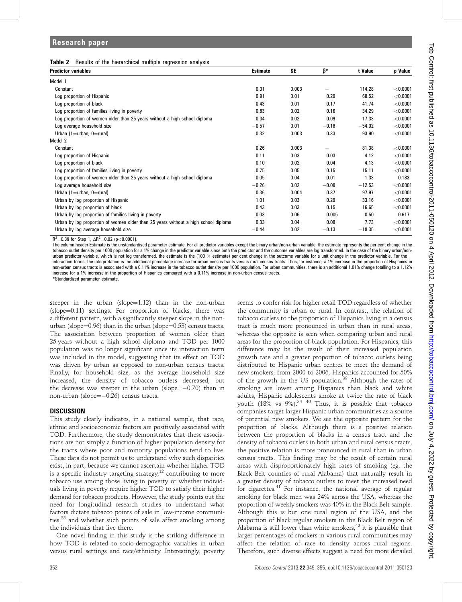Table 2 Besults of the hierarchical multiple regression analysis

| <b>Predictor variables</b>                                                         | <b>Estimate</b> | <b>SE</b> | $\beta^*$ | t Value  | p Value    |
|------------------------------------------------------------------------------------|-----------------|-----------|-----------|----------|------------|
| Model 1                                                                            |                 |           |           |          |            |
| Constant                                                                           | 0.31            | 0.003     |           | 114.28   | $<$ 0.0001 |
| Log proportion of Hispanic                                                         | 0.91            | 0.01      | 0.29      | 68.52    | $<$ 0.0001 |
| Log proportion of black                                                            | 0.43            | 0.01      | 0.17      | 41.74    | $<$ 0.0001 |
| Log proportion of families living in poverty                                       | 0.83            | 0.02      | 0.16      | 34.29    | $<$ 0.0001 |
| Log proportion of women older than 25 years without a high school diploma          | 0.34            | 0.02      | 0.09      | 17.33    | $<$ 0.0001 |
| Log average household size                                                         | $-0.57$         | 0.01      | $-0.18$   | $-54.02$ | $<$ 0.0001 |
| Urban (1=urban, 0=rural)                                                           | 0.32            | 0.003     | 0.33      | 93.90    | $<$ 0.0001 |
| Model 2                                                                            |                 |           |           |          |            |
| Constant                                                                           | 0.26            | 0.003     |           | 81.38    | $<$ 0.0001 |
| Log proportion of Hispanic                                                         | 0.11            | 0.03      | 0.03      | 4.12     | $<$ 0.0001 |
| Log proportion of black                                                            | 0.10            | 0.02      | 0.04      | 4.13     | $<$ 0.0001 |
| Log proportion of families living in poverty                                       | 0.75            | 0.05      | 0.15      | 15.11    | < 0.0001   |
| Log proportion of women older than 25 years without a high school diploma          | 0.05            | 0.04      | 0.01      | 1.33     | 0.183      |
| Log average household size                                                         | $-0.26$         | 0.02      | $-0.08$   | $-12.53$ | $<$ 0.0001 |
| Urban $(1=$ urban, $0=$ rural)                                                     | 0.36            | 0.004     | 0.37      | 97.97    | < 0.0001   |
| Urban by log proportion of Hispanic                                                | 1.01            | 0.03      | 0.29      | 33.16    | $<$ 0.0001 |
| Urban by log proportion of black                                                   | 0.43            | 0.03      | 0.15      | 16.65    | < 0.0001   |
| Urban by log proportion of families living in poverty                              | 0.03            | 0.06      | 0.005     | 0.50     | 0.617      |
| Urban by log proportion of women older than 25 years without a high school diploma | 0.33            | 0.04      | 0.08      | 7.73     | < 0.0001   |
| Urban by log average household size                                                | $-0.44$         | 0.02      | $-0.13$   | $-18.35$ | $<$ 0.0001 |

 $R^2$ =0.39 for Step 1,  $\Delta R^2$ =0.02 (p<0.0001).

The column header Estimate is the unstandardised parameter estimate. For all predictor variables except the binary urban/non-urban variable, the estimate represents the per cent change in the tobacco outlet density per 1000 population for a 1% change in the predictor variable since both the predictor and the outcome variables are log transformed. In the case of the binary urban/nonurban predictor variable, which is not log transformed, the estimate is the (100  $\times$  estimate) per cent change in the outcome variable for a unit change in the predictor variable. For the interaction terms, the interpretation is the additional percentage increase for urban census tracts versus rural census tracts. Thus, for instance, a 1% increase in the proportion of Hispanics in non-urban census tracts is associated with a 0.11% increase in the tobacco outlet density per 1000 population. For urban communities, there is an additional 1.01% change totalling to a 1.12% increase for a 1% increase in the proportion of Hispanics compared with a 0.11% increase in non-urban census tracts.

\*Standardized parameter estimate.

steeper in the urban (slope= $1.12$ ) than in the non-urban  $(slope=0.11)$  settings. For proportion of blacks, there was a different pattern, with a significantly steeper slope in the nonurban (slope= $0.96$ ) than in the urban (slope= $0.53$ ) census tracts. The association between proportion of women older than 25 years without a high school diploma and TOD per 1000 population was no longer significant once its interaction term was included in the model, suggesting that its effect on TOD was driven by urban as opposed to non-urban census tracts. Finally, for household size, as the average household size increased, the density of tobacco outlets decreased, but the decrease was steeper in the urban (slope= $-0.70$ ) than in non-urban (slope¼-0.26) census tracts.

## **DISCUSSION**

This study clearly indicates, in a national sample, that race, ethnic and socioeconomic factors are positively associated with TOD. Furthermore, the study demonstrates that these associations are not simply a function of higher population density for the tracts where poor and minority populations tend to live. These data do not permit us to understand why such disparities exist, in part, because we cannot ascertain whether higher TOD is a specific industry targeting strategy, $12$  contributing to more tobacco use among those living in poverty or whether individuals living in poverty require higher TOD to satisfy their higher demand for tobacco products. However, the study points out the need for longitudinal research studies to understand what factors dictate tobacco points of sale in low-income communities,<sup>38</sup> and whether such points of sale affect smoking among the individuals that live there.

One novel finding in this study is the striking difference in how TOD is related to socio-demographic variables in urban versus rural settings and race/ethnicity. Interestingly, poverty seems to confer risk for higher retail TOD regardless of whether the community is urban or rural. In contrast, the relation of tobacco outlets to the proportion of Hispanics living in a census tract is much more pronounced in urban than in rural areas, whereas the opposite is seen when comparing urban and rural areas for the proportion of black population. For Hispanics, this difference may be the result of their increased population growth rate and a greater proportion of tobacco outlets being distributed to Hispanic urban centres to meet the demand of new smokers; from 2000 to 2006, Hispanics accounted for 50% of the growth in the US population.<sup>39</sup> Although the rates of smoking are lower among Hispanics than black and white adults, Hispanic adolescents smoke at twice the rate of black youth (18% vs 9%).<sup>34 40</sup> Thus, it is possible that tobacco companies target larger Hispanic urban communities as a source of potential new smokers. We see the opposite pattern for the proportion of blacks. Although there is a positive relation between the proportion of blacks in a census tract and the density of tobacco outlets in both urban and rural census tracts, the positive relation is more pronounced in rural than in urban census tracts. This finding may be the result of certain rural areas with disproportionately high rates of smoking (eg, the Black Belt counties of rural Alabama) that naturally result in a greater density of tobacco outlets to meet the increased need for cigarettes. $41$  For instance, the national average of regular smoking for black men was 24% across the USA, whereas the proportion of weekly smokers was 40% in the Black Belt sample. Although this is but one rural region of the USA, and the proportion of black regular smokers in the Black Belt region of Alabama is still lower than white smokers,<sup>42</sup> it is plausible that larger percentages of smokers in various rural communities may affect the relation of race to density across rural regions. Therefore, such diverse effects suggest a need for more detailed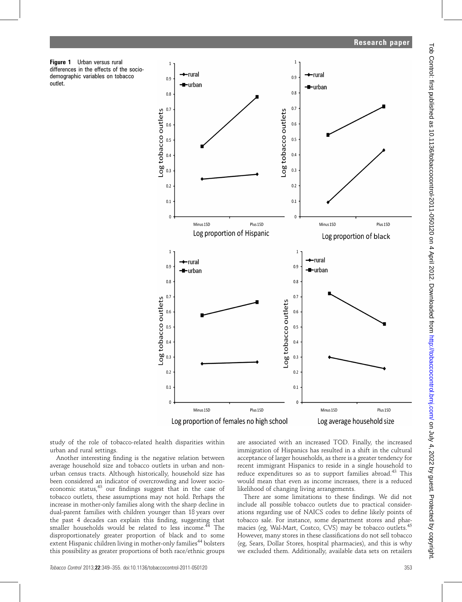Figure 1 Urban versus rural differences in the effects of the sociodemographic variables on tobacco outlet.



study of the role of tobacco-related health disparities within urban and rural settings.

Another interesting finding is the negative relation between average household size and tobacco outlets in urban and nonurban census tracts. Although historically, household size has been considered an indicator of overcrowding and lower socioeconomic status, $43$  our findings suggest that in the case of tobacco outlets, these assumptions may not hold. Perhaps the increase in mother-only families along with the sharp decline in dual-parent families with children younger than 18 years over the past 4 decades can explain this finding, suggesting that smaller households would be related to less income.<sup>44</sup> The disproportionately greater proportion of black and to some extent Hispanic children living in mother-only families<sup>44</sup> bolsters this possibility as greater proportions of both race/ethnic groups

are associated with an increased TOD. Finally, the increased immigration of Hispanics has resulted in a shift in the cultural acceptance of larger households, as there is a greater tendency for recent immigrant Hispanics to reside in a single household to reduce expenditures so as to support families abroad.<sup>43</sup> This would mean that even as income increases, there is a reduced likelihood of changing living arrangements.

There are some limitations to these findings. We did not include all possible tobacco outlets due to practical considerations regarding use of NAICS codes to define likely points of tobacco sale. For instance, some department stores and pharmacies (eg, Wal-Mart, Costco, CVS) may be tobacco outlets.<sup>45</sup> However, many stores in these classifications do not sell tobacco (eg, Sears, Dollar Stores, hospital pharmacies), and this is why we excluded them. Additionally, available data sets on retailers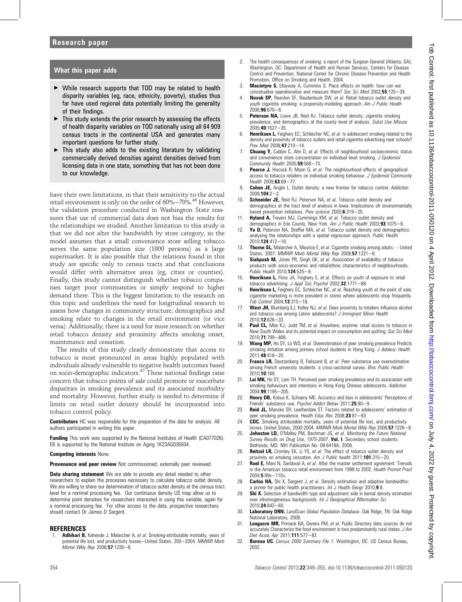#### What this paper adds

- ▶ While research supports that TOD may be related to health disparity variables (eg, race, ethnicity, poverty), studies thus far have used regional data potentially limiting the generality of their findings.
- This study extends the prior research by assessing the effects of health disparity variables on TOD nationally using all 64 909 census tracts in the continental USA and generates many important questions for further study.
- $\blacktriangleright$  This study also adds to the existing literature by validating commercially derived densities against densities derived from licensing data in one state, something that has not been done to our knowledge.

have their own limitations, in that their sensitivity to the actual retail environment is only on the order of  $60\% - 70\%$ .<sup>46</sup> However, the validation procedure conducted in Washington State reassures that use of commercial data does not bias the results for the relationships we studied. Another limitation to this study is that we did not alter the bandwidth by store category, so the model assumes that a small convenience store selling tobacco serves the same population size (1000 persons) as a large supermarket. It is also possible that the relations found in this study are specific only to census tracts and that conclusions would differ with alternative areas (eg, cities or counties). Finally, this study cannot distinguish whether tobacco companies target poor communities or simply respond to higher demand there. This is the biggest limitation to the research on this topic and underlines the need for longitudinal research to assess how changes in community structure, demographics and smoking relate to changes in the retail environment (or vice versa). Additionally, there is a need for more research on whether retail tobacco density and proximity affects smoking onset, maintenance and cessation.

The results of this study clearly demonstrate that access to tobacco is most pronounced in areas highly populated with individuals already vulnerable to negative health outcomes based on socio-demographic indicators.<sup>47</sup> These national findings raise concern that tobacco points of sale could promote or exacerbate disparities in smoking prevalence and its associated morbidity and mortality. However, further study is needed to determine if limits on retail outlet density should be incorporated into tobacco control policy.

Contributors HC was responsible for the preparation of the data for analysis. All authors participated in writing this paper.

**Funding** This work was supported by the National Institutes of Health (CA077026). EB is supported by the National Institute on Aging 1K23AG036934.

#### Competing interests None.

Provenance and peer review Not commissioned; externally peer reviewed.

**Data sharing statement** We are able to provide any detail needed to other researchers to explain the processes necessary to calculate tobacco outlet density. We are willing to share our determination of tobacco outlet density at the census tract level for a nominal processing fee. Our continuous density US map allow us to determine point densities for researchers interested in using this variable, again for a nominal processing fee. For other access to the data, prospective researchers should contact Dr James D Sargent.

#### **REFERENCES**

Adhikari B, Kahende J, Malarcher A, et al. Smoking-attributable mortality, years of potential life lost, and productivity losses-United States, 200-2004. MMWR Morb Mortal Wkly Rep 2008;57:1226-8.

- 2. The health consequences of smoking: a report of the Surgeon General (Atlanta, GA). Washington, DC: Department of Health and Human Services, Centers for Disease Control and Prevention, National Center for Chronic Disease Prevention and Health Promotion, Office on Smoking and Health, 2004.
- **Macintyre S.** Ellayway A, Cummins S. Place effects on health: how can we concetualise operationalise and measure them? Soc Sci Med 2002;55:125-39.
- Novak SP, Reardon SF, Raudenbush SW, et al. Retail tobacco outlet density and youth cigarette smoking: a propensity-modeling approach. Am J Public Health  $2006:96:670 - 6$
- 5. Peterson NA, Lowe JB, Reid RJ. Tobacco outlet density, cigarette smoking prevalence, and demographics at the county level of analysis. Subst Use Misuse  $2005:40:1627-35$
- 6. **Henriksen L,** Feighery EC, Schleicher NC, et al. Is adolescent smoking related to the density and proximity of tobacco outlets and retail cigarette advertising near schools? Prev Med  $2008:47:210-14$ .
- 7. Chuang Y, Cubbin C, Ahn D, et al. Effects of neighbourhood socioeconomic status and convenience store concentration on individual level smoking. J Epidemiol Community Health  $2005;59:568-73$ .
- 8. **Pearce J,** Hiscock R, Moon G, et al. The neighbourhood effects of geographical access to tobacco retailers on individual smoking behaviour. J Epidemiol Community  $Health 20096369 - 77$
- 9. Cohen JE, Anglin L. Outlet density: a new frontier for tobacco control. Addiction  $2009; 104:2-3.$
- 10. Schneider JE, Reid RJ, Peterson NA, et al. Tobacco outlet density and demographics at the tract level of analysis in Iowa: Implications ofr environmentally based prevention initiatives. Prev science 2005;6:319-25.
- 11. Hyland A, Travers MJ, Cummings KM, et al. Tobacco outlet density and demographics in Erie County, New York. Am J Public Health 2003;93:1075-6.
- 12. Yu D, Peterson NA, Sheffer MA, et al. Tobacco outlet density and demographics: analysing the relationships with a spatial regression approach. Public Health  $2010 \cdot 124 \cdot 412 - 16$
- 13. Thorne SL, Malarcher A, Maurice E, et al. Cigarette smoking among adults - United States, 2007. MMWR Morb Mortal Wkly Rep 2008;57:1221-6.
- 14. Siahpush M, Jones PR, Singh GK, et al. Association of availability of tobacco products with socio-economic and ratial/ethnic characteristics of neighbourhoods. Public Health  $2010:124:525-9$ .
- 15. Henriksen L, Flora JA, Feighery E, et al. Effects on youth of exposure to retail tobacco advertising. J Appl Soc Psychol 2002;32:1771-89.
- 16. Henriksen L, Feighery EC, Schleicher NC, et al. Reaching youth at the point of sale: cigarette marketing is more prevalent in stores where adolescents shop frequently.  $\overline{I}$ ob Control 2004; $\overline{13}$ :315-18.
- 17. West JH, Blumberg EJ, Kelley NJ, et al. Does proximity to retailers influence alcohol and tobacco use among Latino adolescents? J Immigrant Minor Health 2010:12:626-33.
- 18. **Paul CL,** Mee KJ, Judd TM, et al. Anywhere, anytime: retail access to tobacco in New South Wales and its potential impact on consumption and quitting. Soc Sci Med  $2010 \cdot 71 \cdot 799 - 806$
- 19. Wang MP, Ho SY, Lo WS, et al. Overestimation of peer smoking prevalence Predicts smoking initiation among primary school students in Hong Kong. J Adolesc Health 2011;48:418-20.
- 20. Franca LR, Dautzenberg B, Falissard B, et al. Peer substance use overestimation among French university students: a cross-sectional survey. Bmc Public Health 2010;10:169.
- 21. Lai MK, Ho SY, Lam TH. Perceived peer smoking prevalence and its association with smoking behaviours and intentions in Hong Kong Chinese adolescents. Addiction  $2004:99:1195-205$
- 22. Henry DB, Kobus K, Schoeny ME. Accuracy and bias in adolescents' Perceptions of Friends' substance use. Psychol Addict Behav 2011;25:80-9.
- 23. Reid JL, Manske SR, Leatherdale ST. Factors related to adolescents' estimation of peer smoking prevalence. Health Educ Res 2008;23:81-93.
- 24. CDC. Smoking attributable mortality, years of potential life lost, and productivity losses. United States, 2000-2004. MMWR Morb Mortal Wkly Rep 2008;57:1226-8.
- 25. Johnston LD, O'Malley PM, Bachman JG, et al. Monitoring the Future National Survey Results on Drug Use, 1975-2007. Vol. I. Secondary school students. Bethesda, MD: NIH Publication No. 08-6418A, 2008.
- 26. Reitzel LR, Cromley EK, Li YS, et al. The effect of tobacco outlet density and proximity on smoking cessation. Am J Public health  $2011;101:315-20$ .
- 27. Ruel E, Mani N, Sandoval A, et al. After the master settlement agreement: Trensds in the American tobacco retail environment from 1999 to 2002. Health Promot Pract 2004:5:99s-110s.
- 28. Carlos HA, Shi X, Sargent J, et al. Density estimation and adaptive bandwidths: a primer for public health practitioners. Int J Health Geogr 2010;9:8.
- 29. Shi X. Selection of bandwidth type and adjustment side in kernal density estimation over inhomogeneious backgrounds. Int J Geographical INformation Sci  $2010:24:643 - 60.$
- 30. Laboratory ORN. LandScan Global Population Database. Oak Ridge, TN: Oak Ridge National Laboratory, 2008.
- 31. Longacre MR, Primack BA, Owens PM, et al. Public Directory data sources do not accurately Characterize the food environment in two predominantly rural states. J Am Diet Assoc Apr 2011:111:577-82.
- 32. Bureau UC. Census 2000 Summary File 1. Washington, DC: US Census Bureau. 2002.